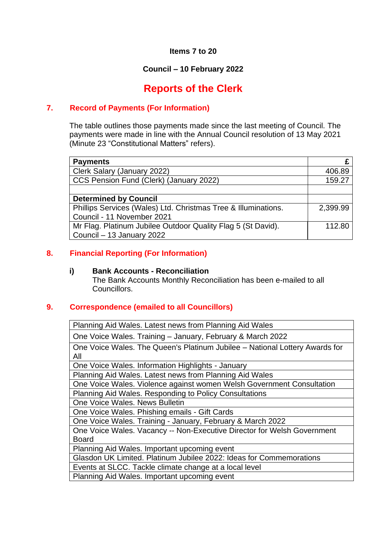#### **Items 7 to 20**

### **Council – 10 February 2022**

# **Reports of the Clerk**

#### **7. Record of Payments (For Information)**

The table outlines those payments made since the last meeting of Council. The payments were made in line with the Annual Council resolution of 13 May 2021 (Minute 23 "Constitutional Matters" refers).

| <b>Payments</b>                                                |          |
|----------------------------------------------------------------|----------|
| Clerk Salary (January 2022)                                    | 406.89   |
| CCS Pension Fund (Clerk) (January 2022)                        | 159.27   |
|                                                                |          |
| <b>Determined by Council</b>                                   |          |
| Phillips Services (Wales) Ltd. Christmas Tree & Illuminations. | 2,399.99 |
| Council - 11 November 2021                                     |          |
| Mr Flag. Platinum Jubilee Outdoor Quality Flag 5 (St David).   | 112.80   |
| Council – 13 January 2022                                      |          |

#### **8. Financial Reporting (For Information)**

#### **i) Bank Accounts - Reconciliation**

The Bank Accounts Monthly Reconciliation has been e-mailed to all Councillors.

#### **9. Correspondence (emailed to all Councillors)**

Planning Aid Wales. Latest news from Planning Aid Wales

One Voice Wales. Training – January, February & March 2022

One Voice Wales. The Queen's Platinum Jubilee – National Lottery Awards for All

One Voice Wales. Information Highlights - January

Planning Aid Wales. Latest news from Planning Aid Wales

One Voice Wales. Violence against women Welsh Government Consultation Planning Aid Wales. Responding to Policy Consultations

One Voice Wales. News Bulletin

One Voice Wales. Phishing emails - Gift Cards

One Voice Wales. Training - January, February & March 2022

One Voice Wales. Vacancy -- Non-Executive Director for Welsh Government Board

Planning Aid Wales. Important upcoming event

Glasdon UK Limited. Platinum Jubilee 2022: Ideas for Commemorations

Events at SLCC. Tackle climate change at a local level

Planning Aid Wales. Important upcoming event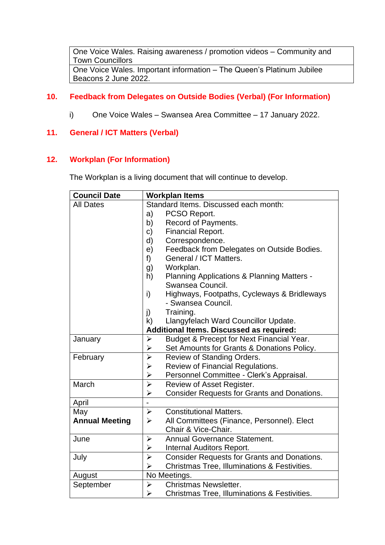One Voice Wales. Raising awareness / promotion videos – Community and Town Councillors One Voice Wales. Important information – The Queen's Platinum Jubilee Beacons 2 June 2022.

### **10. Feedback from Delegates on Outside Bodies (Verbal) (For Information)**

i) One Voice Wales – Swansea Area Committee – 17 January 2022.

### **11. General / ICT Matters (Verbal)**

#### **12. Workplan (For Information)**

The Workplan is a living document that will continue to develop.

| <b>Council Date</b>   | <b>Workplan Items</b>                                                       |  |  |
|-----------------------|-----------------------------------------------------------------------------|--|--|
| <b>All Dates</b>      | Standard Items. Discussed each month:                                       |  |  |
|                       | a)<br>PCSO Report.                                                          |  |  |
|                       | b)<br>Record of Payments.                                                   |  |  |
|                       | <b>Financial Report.</b><br>c)                                              |  |  |
|                       | Correspondence.<br>d)                                                       |  |  |
|                       | Feedback from Delegates on Outside Bodies.<br>e)                            |  |  |
|                       | General / ICT Matters.<br>f)                                                |  |  |
|                       | Workplan.<br>g)                                                             |  |  |
|                       | h)<br><b>Planning Applications &amp; Planning Matters -</b>                 |  |  |
|                       | Swansea Council.                                                            |  |  |
|                       | Highways, Footpaths, Cycleways & Bridleways<br>i)                           |  |  |
|                       | - Swansea Council.                                                          |  |  |
|                       | Training.<br>j)                                                             |  |  |
|                       | k)<br>Llangyfelach Ward Councillor Update.                                  |  |  |
|                       | <b>Additional Items. Discussed as required:</b>                             |  |  |
| January               | Budget & Precept for Next Financial Year.<br>$\blacktriangleright$          |  |  |
|                       | Set Amounts for Grants & Donations Policy.<br>➤                             |  |  |
| February              | $\blacktriangleright$<br>Review of Standing Orders.                         |  |  |
|                       | $\blacktriangleright$<br>Review of Financial Regulations.                   |  |  |
|                       | $\blacktriangleright$<br>Personnel Committee - Clerk's Appraisal.           |  |  |
| March                 | $\blacktriangleright$<br>Review of Asset Register.                          |  |  |
|                       | $\blacktriangleright$<br><b>Consider Requests for Grants and Donations.</b> |  |  |
| April                 |                                                                             |  |  |
| May                   | <b>Constitutional Matters.</b><br>$\blacktriangleright$                     |  |  |
| <b>Annual Meeting</b> | $\blacktriangleright$<br>All Committees (Finance, Personnel). Elect         |  |  |
|                       | Chair & Vice-Chair.                                                         |  |  |
| June                  | <b>Annual Governance Statement.</b><br>$\blacktriangleright$                |  |  |
|                       | Internal Auditors Report.<br>$\blacktriangleright$                          |  |  |
| July                  | <b>Consider Requests for Grants and Donations.</b><br>$\blacktriangleright$ |  |  |
|                       | $\blacktriangleright$<br>Christmas Tree, Illuminations & Festivities.       |  |  |
| August                | No Meetings.                                                                |  |  |
| September             | Christmas Newsletter.<br>$\blacktriangleright$                              |  |  |
|                       | Christmas Tree, Illuminations & Festivities.<br>$\blacktriangleright$       |  |  |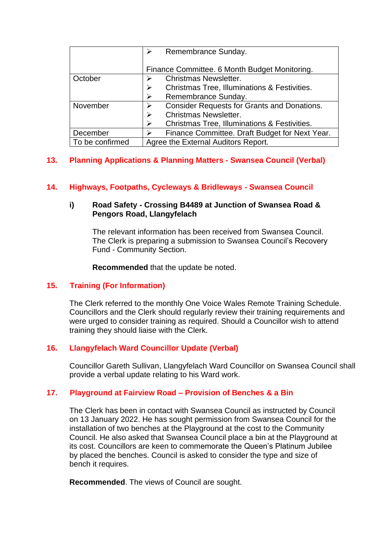|                 | Remembrance Sunday.                                |
|-----------------|----------------------------------------------------|
|                 | Finance Committee. 6 Month Budget Monitoring.      |
| October         | <b>Christmas Newsletter.</b>                       |
|                 | Christmas Tree, Illuminations & Festivities.<br>⋗  |
|                 | Remembrance Sunday.                                |
| November        | <b>Consider Requests for Grants and Donations.</b> |
|                 | <b>Christmas Newsletter.</b><br>⋗                  |
|                 | Christmas Tree, Illuminations & Festivities.       |
| December        | Finance Committee. Draft Budget for Next Year.     |
| To be confirmed | Agree the External Auditors Report.                |

## **13. Planning Applications & Planning Matters - Swansea Council (Verbal)**

### **14. Highways, Footpaths, Cycleways & Bridleways - Swansea Council**

#### **i) Road Safety - Crossing B4489 at Junction of Swansea Road & Pengors Road, Llangyfelach**

The relevant information has been received from Swansea Council. The Clerk is preparing a submission to Swansea Council's Recovery Fund - Community Section.

**Recommended** that the update be noted.

### **15. Training (For Information)**

The Clerk referred to the monthly One Voice Wales Remote Training Schedule. Councillors and the Clerk should regularly review their training requirements and were urged to consider training as required. Should a Councillor wish to attend training they should liaise with the Clerk.

### **16. Llangyfelach Ward Councillor Update (Verbal)**

Councillor Gareth Sullivan, Llangyfelach Ward Councillor on Swansea Council shall provide a verbal update relating to his Ward work.

### **17. Playground at Fairview Road – Provision of Benches & a Bin**

The Clerk has been in contact with Swansea Council as instructed by Council on 13 January 2022. He has sought permission from Swansea Council for the installation of two benches at the Playground at the cost to the Community Council. He also asked that Swansea Council place a bin at the Playground at its cost. Councillors are keen to commemorate the Queen's Platinum Jubilee by placed the benches. Council is asked to consider the type and size of bench it requires.

**Recommended**. The views of Council are sought.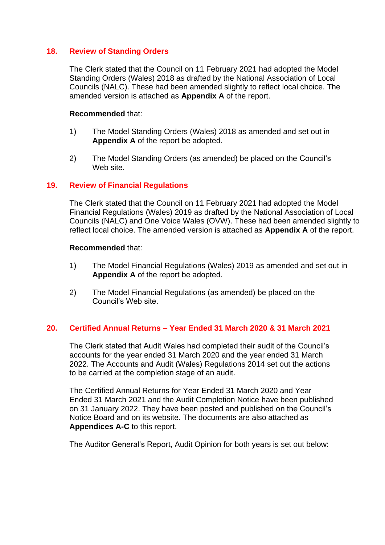#### **18. Review of Standing Orders**

The Clerk stated that the Council on 11 February 2021 had adopted the Model Standing Orders (Wales) 2018 as drafted by the National Association of Local Councils (NALC). These had been amended slightly to reflect local choice. The amended version is attached as **Appendix A** of the report.

#### **Recommended** that:

- 1) The Model Standing Orders (Wales) 2018 as amended and set out in **Appendix A** of the report be adopted.
- 2) The Model Standing Orders (as amended) be placed on the Council's Web site.

#### **19. Review of Financial Regulations**

The Clerk stated that the Council on 11 February 2021 had adopted the Model Financial Regulations (Wales) 2019 as drafted by the National Association of Local Councils (NALC) and One Voice Wales (OVW). These had been amended slightly to reflect local choice. The amended version is attached as **Appendix A** of the report.

#### **Recommended** that:

- 1) The Model Financial Regulations (Wales) 2019 as amended and set out in **Appendix A** of the report be adopted.
- 2) The Model Financial Regulations (as amended) be placed on the Council's Web site.

#### **20. Certified Annual Returns – Year Ended 31 March 2020 & 31 March 2021**

The Clerk stated that Audit Wales had completed their audit of the Council's accounts for the year ended 31 March 2020 and the year ended 31 March 2022. The Accounts and Audit (Wales) Regulations 2014 set out the actions to be carried at the completion stage of an audit.

The Certified Annual Returns for Year Ended 31 March 2020 and Year Ended 31 March 2021 and the Audit Completion Notice have been published on 31 January 2022. They have been posted and published on the Council's Notice Board and on its website. The documents are also attached as **Appendices A-C** to this report.

The Auditor General's Report, Audit Opinion for both years is set out below: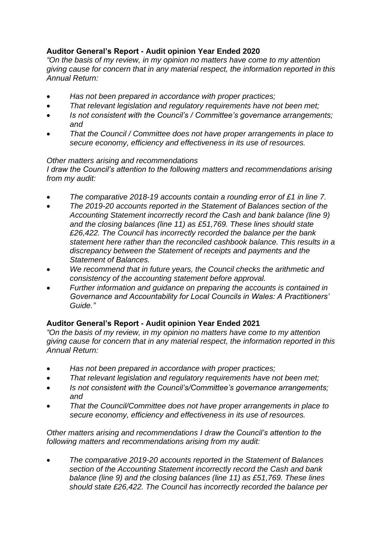# **Auditor General's Report - Audit opinion Year Ended 2020**

*"On the basis of my review, in my opinion no matters have come to my attention giving cause for concern that in any material respect, the information reported in this Annual Return:*

- *Has not been prepared in accordance with proper practices;*
- *That relevant legislation and regulatory requirements have not been met;*
- *Is not consistent with the Council's / Committee's governance arrangements; and*
- *That the Council / Committee does not have proper arrangements in place to secure economy, efficiency and effectiveness in its use of resources.*

### *Other matters arising and recommendations*

*I draw the Council's attention to the following matters and recommendations arising from my audit:*

- *The comparative 2018-19 accounts contain a rounding error of £1 in line 7.*
- *The 2019-20 accounts reported in the Statement of Balances section of the Accounting Statement incorrectly record the Cash and bank balance (line 9) and the closing balances (line 11) as £51,769. These lines should state £26,422. The Council has incorrectly recorded the balance per the bank statement here rather than the reconciled cashbook balance. This results in a discrepancy between the Statement of receipts and payments and the Statement of Balances.*
- *We recommend that in future years, the Council checks the arithmetic and consistency of the accounting statement before approval.*
- *Further information and guidance on preparing the accounts is contained in Governance and Accountability for Local Councils in Wales: A Practitioners' Guide."*

# **Auditor General's Report - Audit opinion Year Ended 2021**

*"On the basis of my review, in my opinion no matters have come to my attention giving cause for concern that in any material respect, the information reported in this Annual Return:*

- *Has not been prepared in accordance with proper practices;*
- *That relevant legislation and regulatory requirements have not been met;*
- *Is not consistent with the Council's/Committee's governance arrangements; and*
- *That the Council/Committee does not have proper arrangements in place to secure economy, efficiency and effectiveness in its use of resources.*

*Other matters arising and recommendations I draw the Council's attention to the following matters and recommendations arising from my audit:*

• *The comparative 2019-20 accounts reported in the Statement of Balances section of the Accounting Statement incorrectly record the Cash and bank balance (line 9) and the closing balances (line 11) as £51,769. These lines should state £26,422. The Council has incorrectly recorded the balance per*